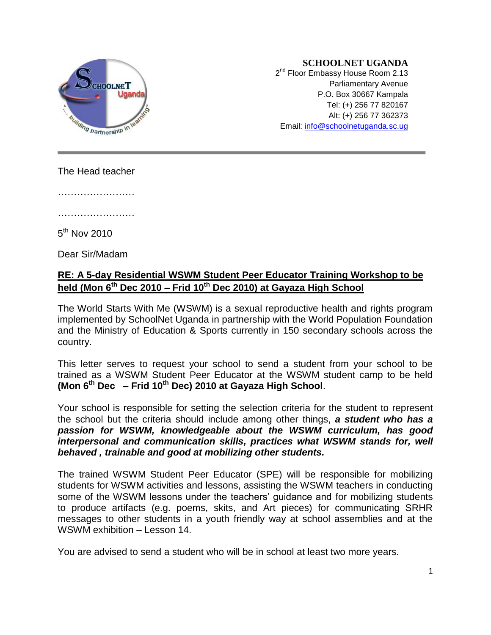

#### **SCHOOLNET UGANDA**

2<sup>nd</sup> Floor Embassy House Room 2.13 Parliamentary Avenue P.O. Box 30667 Kampala Tel: (+) 256 77 820167 Alt: (+) 256 77 362373 Email: [info@schoolnetuganda.sc.ug](mailto:info@schoolnetuganda.sc.ug)

The Head teacher

……………………

…………………………

 $5^{\mathsf{th}}$  Nov 2010

Dear Sir/Madam

## **RE: A 5-day Residential WSWM Student Peer Educator Training Workshop to be held (Mon 6 th Dec 2010 – Frid 10 th Dec 2010) at Gayaza High School**

The World Starts With Me (WSWM) is a sexual reproductive health and rights program implemented by SchoolNet Uganda in partnership with the World Population Foundation and the Ministry of Education & Sports currently in 150 secondary schools across the country.

This letter serves to request your school to send a student from your school to be trained as a WSWM Student Peer Educator at the WSWM student camp to be held **(Mon 6 th Dec – Frid 10th Dec) 2010 at Gayaza High School**.

Your school is responsible for setting the selection criteria for the student to represent the school but the criteria should include among other things, *a student who has a passion for WSWM, knowledgeable about the WSWM curriculum, has good interpersonal and communication skills, practices what WSWM stands for, well behaved , trainable and good at mobilizing other students.*

The trained WSWM Student Peer Educator (SPE) will be responsible for mobilizing students for WSWM activities and lessons, assisting the WSWM teachers in conducting some of the WSWM lessons under the teachers' guidance and for mobilizing students to produce artifacts (e.g. poems, skits, and Art pieces) for communicating SRHR messages to other students in a youth friendly way at school assemblies and at the WSWM exhibition – Lesson 14.

You are advised to send a student who will be in school at least two more years.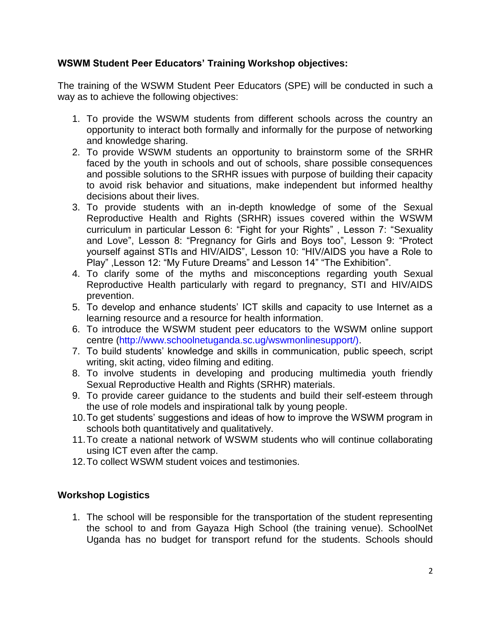### **WSWM Student Peer Educators' Training Workshop objectives:**

The training of the WSWM Student Peer Educators (SPE) will be conducted in such a way as to achieve the following objectives:

- 1. To provide the WSWM students from different schools across the country an opportunity to interact both formally and informally for the purpose of networking and knowledge sharing.
- 2. To provide WSWM students an opportunity to brainstorm some of the SRHR faced by the youth in schools and out of schools, share possible consequences and possible solutions to the SRHR issues with purpose of building their capacity to avoid risk behavior and situations, make independent but informed healthy decisions about their lives.
- 3. To provide students with an in-depth knowledge of some of the Sexual Reproductive Health and Rights (SRHR) issues covered within the WSWM curriculum in particular Lesson 6: "Fight for your Rights" , Lesson 7: "Sexuality and Love", Lesson 8: "Pregnancy for Girls and Boys too", Lesson 9: "Protect yourself against STIs and HIV/AIDS", Lesson 10: "HIV/AIDS you have a Role to Play" ,Lesson 12: "My Future Dreams" and Lesson 14" "The Exhibition".
- 4. To clarify some of the myths and misconceptions regarding youth Sexual Reproductive Health particularly with regard to pregnancy, STI and HIV/AIDS prevention.
- 5. To develop and enhance students' ICT skills and capacity to use Internet as a learning resource and a resource for health information.
- 6. To introduce the WSWM student peer educators to the WSWM online support centre (http://www.schoolnetuganda.sc.ug/wswmonlinesupport/).
- 7. To build students' knowledge and skills in communication, public speech, script writing, skit acting, video filming and editing.
- 8. To involve students in developing and producing multimedia youth friendly Sexual Reproductive Health and Rights (SRHR) materials.
- 9. To provide career guidance to the students and build their self-esteem through the use of role models and inspirational talk by young people.
- 10.To get students' suggestions and ideas of how to improve the WSWM program in schools both quantitatively and qualitatively.
- 11.To create a national network of WSWM students who will continue collaborating using ICT even after the camp.
- 12.To collect WSWM student voices and testimonies.

### **Workshop Logistics**

1. The school will be responsible for the transportation of the student representing the school to and from Gayaza High School (the training venue). SchoolNet Uganda has no budget for transport refund for the students. Schools should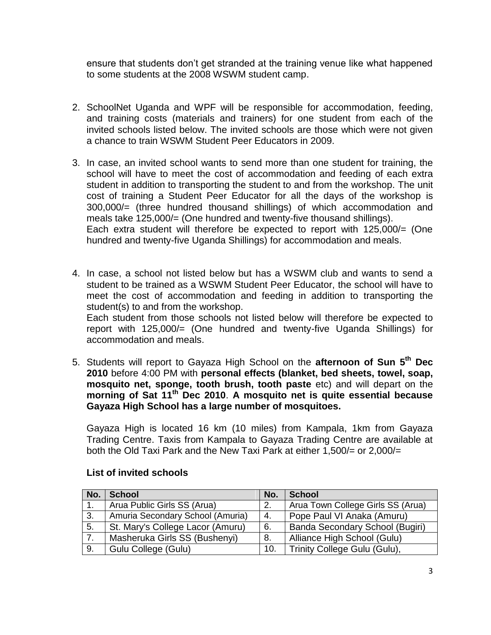ensure that students don't get stranded at the training venue like what happened to some students at the 2008 WSWM student camp.

- 2. SchoolNet Uganda and WPF will be responsible for accommodation, feeding, and training costs (materials and trainers) for one student from each of the invited schools listed below. The invited schools are those which were not given a chance to train WSWM Student Peer Educators in 2009.
- 3. In case, an invited school wants to send more than one student for training, the school will have to meet the cost of accommodation and feeding of each extra student in addition to transporting the student to and from the workshop. The unit cost of training a Student Peer Educator for all the days of the workshop is 300,000/= (three hundred thousand shillings) of which accommodation and meals take 125,000/= (One hundred and twenty-five thousand shillings). Each extra student will therefore be expected to report with 125,000/= (One hundred and twenty-five Uganda Shillings) for accommodation and meals.
- 4. In case, a school not listed below but has a WSWM club and wants to send a student to be trained as a WSWM Student Peer Educator, the school will have to meet the cost of accommodation and feeding in addition to transporting the student(s) to and from the workshop. Each student from those schools not listed below will therefore be expected to report with 125,000/= (One hundred and twenty-five Uganda Shillings) for accommodation and meals.
- 5. Students will report to Gayaza High School on the **afternoon of Sun 5 th Dec 2010** before 4:00 PM with **personal effects (blanket, bed sheets, towel, soap, mosquito net, sponge, tooth brush, tooth paste** etc) and will depart on the **morning of Sat 11th Dec 2010**. **A mosquito net is quite essential because Gayaza High School has a large number of mosquitoes.**

Gayaza High is located 16 km (10 miles) from Kampala, 1km from Gayaza Trading Centre. Taxis from Kampala to Gayaza Trading Centre are available at both the Old Taxi Park and the New Taxi Park at either 1,500/= or 2,000/=

| No. | <b>School</b>                    | No. | <b>School</b>                     |
|-----|----------------------------------|-----|-----------------------------------|
|     | Arua Public Girls SS (Arua)      | 2.  | Arua Town College Girls SS (Arua) |
| 3.  | Amuria Secondary School (Amuria) | 4.  | Pope Paul VI Anaka (Amuru)        |
| 5.  | St. Mary's College Lacor (Amuru) | 6.  | Banda Secondary School (Bugiri)   |
|     | Masheruka Girls SS (Bushenyi)    | 8.  | Alliance High School (Gulu)       |
| 9.  | Gulu College (Gulu)              | 10. | Trinity College Gulu (Gulu),      |

### **List of invited schools**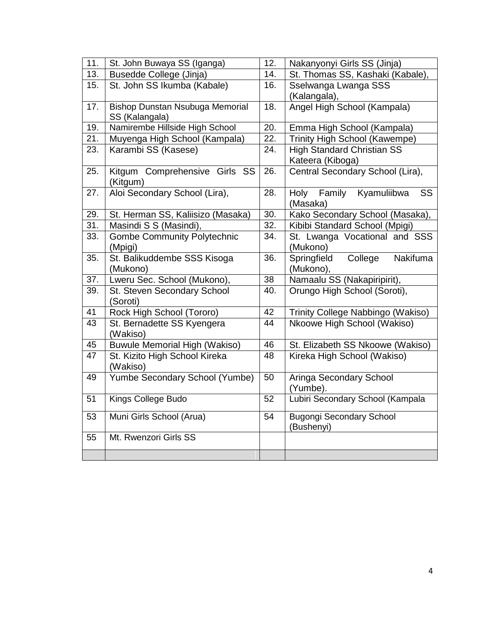| 11. | St. John Buwaya SS (Iganga)                              | $\overline{12}$ . | Nakanyonyi Girls SS (Jinja)                            |
|-----|----------------------------------------------------------|-------------------|--------------------------------------------------------|
| 13. | <b>Busedde College (Jinja)</b>                           | 14.               | St. Thomas SS, Kashaki (Kabale),                       |
| 15. | St. John SS Ikumba (Kabale)                              | 16.               | Sselwanga Lwanga SSS<br>(Kalangala),                   |
| 17. | <b>Bishop Dunstan Nsubuga Memorial</b><br>SS (Kalangala) | $\overline{18}$ . | Angel High School (Kampala)                            |
| 19. | Namirembe Hillside High School                           | 20.               | Emma High School (Kampala)                             |
| 21. | Muyenga High School (Kampala)                            | $\overline{22}$ . | Trinity High School (Kawempe)                          |
| 23. | Karambi SS (Kasese)                                      | 24.               | <b>High Standard Christian SS</b><br>Kateera (Kiboga)  |
| 25. | Kitgum Comprehensive Girls SS<br>(Kitgum)                | 26.               | Central Secondary School (Lira),                       |
| 27. | Aloi Secondary School (Lira),                            | 28.               | <b>Holy</b><br>Family<br>Kyamuliibwa<br>SS<br>(Masaka) |
| 29. | St. Herman SS, Kaliisizo (Masaka)                        | 30.               | Kako Secondary School (Masaka),                        |
| 31. | Masindi S S (Masindi),                                   | 32.               | Kibibi Standard School (Mpigi)                         |
| 33. | <b>Gombe Community Polytechnic</b><br>(Mpigi)            | 34.               | St. Lwanga Vocational and SSS<br>(Mukono)              |
| 35. | St. Balikuddembe SSS Kisoga<br>(Mukono)                  | 36.               | Nakifuma<br>College<br>Springfield<br>(Mukono),        |
| 37. | Lweru Sec. School (Mukono),                              | 38                | Namaalu SS (Nakapiripirit),                            |
| 39. | St. Steven Secondary School<br>(Soroti)                  | 40.               | Orungo High School (Soroti),                           |
| 41  | Rock High School (Tororo)                                | 42                | Trinity College Nabbingo (Wakiso)                      |
| 43  | St. Bernadette SS Kyengera<br>(Wakiso)                   | 44                | Nkoowe High School (Wakiso)                            |
| 45  | <b>Buwule Memorial High (Wakiso)</b>                     | 46                | St. Elizabeth SS Nkoowe (Wakiso)                       |
| 47  | St. Kizito High School Kireka<br>(Wakiso)                | 48                | Kireka High School (Wakiso)                            |
| 49  | Yumbe Secondary School (Yumbe)                           | 50                | Aringa Secondary School<br>(Yumbe).                    |
| 51  | Kings College Budo                                       | $\overline{52}$   | Lubiri Secondary School (Kampala                       |
| 53  | Muni Girls School (Arua)                                 | 54                | <b>Bugongi Secondary School</b><br>(Bushenyi)          |
| 55  | Mt. Rwenzori Girls SS                                    |                   |                                                        |
|     |                                                          |                   |                                                        |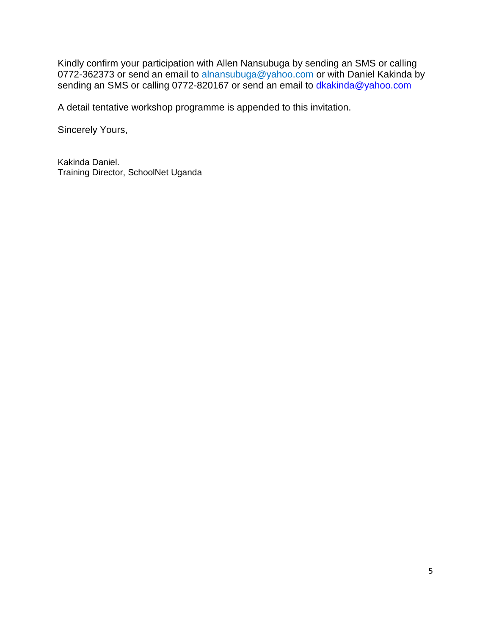Kindly confirm your participation with Allen Nansubuga by sending an SMS or calling 0772-362373 or send an email to alnansubuga@yahoo.com or with Daniel Kakinda by sending an SMS or calling 0772-820167 or send an email to dkakinda@yahoo.com

A detail tentative workshop programme is appended to this invitation.

Sincerely Yours,

Kakinda Daniel. Training Director, SchoolNet Uganda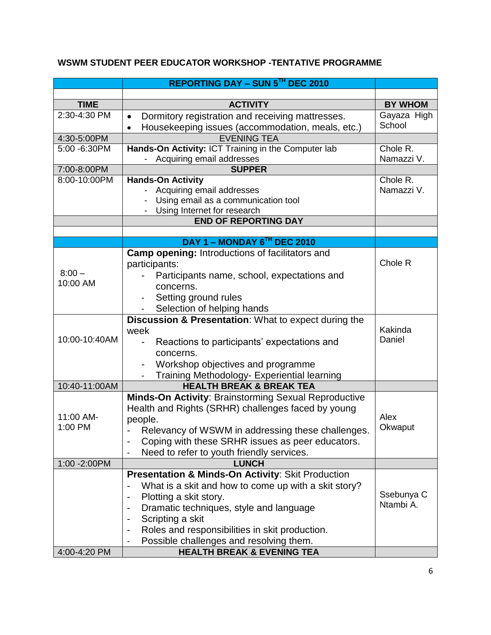# **WSWM STUDENT PEER EDUCATOR WORKSHOP -TENTATIVE PROGRAMME**

|                              | <b>REPORTING DAY - SUN 5TH DEC 2010</b>                                 |                   |
|------------------------------|-------------------------------------------------------------------------|-------------------|
|                              |                                                                         |                   |
| <b>TIME</b>                  | <b>ACTIVITY</b>                                                         | <b>BY WHOM</b>    |
| 2:30-4:30 PM                 | Dormitory registration and receiving mattresses.<br>$\bullet$           | Gayaza High       |
|                              | Housekeeping issues (accommodation, meals, etc.)<br>$\bullet$           | School            |
| 4:30-5:00PM                  | <b>EVENING TEA</b>                                                      |                   |
| 5:00 -6:30PM                 | Hands-On Activity: ICT Training in the Computer lab                     | Chole R.          |
|                              | - Acquiring email addresses                                             | Namazzi V.        |
| 7:00-8:00PM                  | <b>SUPPER</b>                                                           |                   |
| 8:00-10:00PM                 | <b>Hands-On Activity</b>                                                | Chole R.          |
|                              | Acquiring email addresses                                               | Namazzi V.        |
|                              | Using email as a communication tool                                     |                   |
|                              | Using Internet for research                                             |                   |
|                              | <b>END OF REPORTING DAY</b>                                             |                   |
|                              | DAY 1 - MONDAY 6TH DEC 2010                                             |                   |
|                              | <b>Camp opening: Introductions of facilitators and</b>                  |                   |
|                              |                                                                         | Chole R           |
| $8:00 -$                     | participants:                                                           |                   |
| 10:00 AM                     | Participants name, school, expectations and                             |                   |
|                              | concerns.                                                               |                   |
|                              | Setting ground rules                                                    |                   |
|                              | Selection of helping hands                                              |                   |
|                              | Discussion & Presentation: What to expect during the                    |                   |
| 10:00-10:40AM                | week                                                                    | Kakinda<br>Daniel |
|                              | Reactions to participants' expectations and<br>$\overline{\phantom{0}}$ |                   |
|                              | concerns.                                                               |                   |
|                              | Workshop objectives and programme<br>$\overline{\phantom{a}}$           |                   |
|                              | Training Methodology- Experiential learning<br>$\blacksquare$           |                   |
|                              | <b>HEALTH BREAK &amp; BREAK TEA</b><br>10:40-11:00AM                    |                   |
|                              | <b>Minds-On Activity: Brainstorming Sexual Reproductive</b>             |                   |
|                              | Health and Rights (SRHR) challenges faced by young                      |                   |
| 11:00 AM-                    | people.                                                                 | Alex              |
| 1:00 PM                      | Relevancy of WSWM in addressing these challenges.                       | Okwaput           |
|                              | Coping with these SRHR issues as peer educators.                        |                   |
|                              | Need to refer to youth friendly services.                               |                   |
| 1:00 -2:00PM<br><b>LUNCH</b> |                                                                         |                   |
|                              | Presentation & Minds-On Activity: Skit Production                       |                   |
|                              | What is a skit and how to come up with a skit story?                    |                   |
|                              | Plotting a skit story.                                                  | Ssebunya C        |
|                              | Dramatic techniques, style and language                                 | Ntambi A.         |
|                              | Scripting a skit                                                        |                   |
|                              | Roles and responsibilities in skit production.                          |                   |
|                              | Possible challenges and resolving them.                                 |                   |
| 4:00-4:20 PM                 | <b>HEALTH BREAK &amp; EVENING TEA</b>                                   |                   |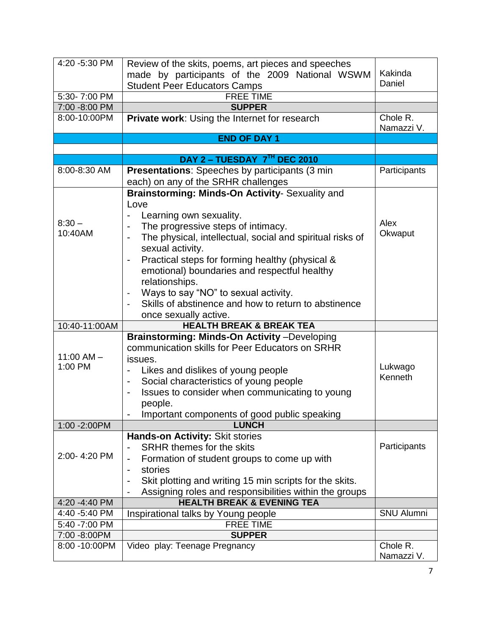| 4:20 -5:30 PM                    | Review of the skits, poems, art pieces and speeches<br>made by participants of the 2009 National WSWM | Kakinda                |
|----------------------------------|-------------------------------------------------------------------------------------------------------|------------------------|
|                                  | <b>Student Peer Educators Camps</b>                                                                   | Daniel                 |
| 5:30-7:00 PM<br><b>FREE TIME</b> |                                                                                                       |                        |
| 7:00 -8:00 PM                    | <b>SUPPER</b>                                                                                         |                        |
| 8:00-10:00PM                     | Private work: Using the Internet for research                                                         | Chole R.<br>Namazzi V. |
|                                  | <b>END OF DAY 1</b>                                                                                   |                        |
|                                  |                                                                                                       |                        |
|                                  | DAY 2 - TUESDAY 7TH DEC 2010                                                                          |                        |
| 8:00-8:30 AM                     | <b>Presentations:</b> Speeches by participants (3 min)<br>each) on any of the SRHR challenges         | Participants           |
|                                  | Brainstorming: Minds-On Activity- Sexuality and                                                       |                        |
|                                  | Love                                                                                                  |                        |
|                                  | Learning own sexuality.                                                                               |                        |
| $8:30 -$                         | The progressive steps of intimacy.                                                                    | Alex                   |
| 10:40AM                          | The physical, intellectual, social and spiritual risks of                                             | Okwaput                |
|                                  | sexual activity.                                                                                      |                        |
|                                  | Practical steps for forming healthy (physical &<br>$\qquad \qquad \blacksquare$                       |                        |
|                                  | emotional) boundaries and respectful healthy                                                          |                        |
|                                  | relationships.                                                                                        |                        |
|                                  |                                                                                                       |                        |
|                                  | Ways to say "NO" to sexual activity.                                                                  |                        |
|                                  | Skills of abstinence and how to return to abstinence                                                  |                        |
|                                  | once sexually active.                                                                                 |                        |
| 10:40-11:00AM                    | <b>HEALTH BREAK &amp; BREAK TEA</b>                                                                   |                        |
|                                  | Brainstorming: Minds-On Activity-Developing                                                           |                        |
| $11:00$ AM $-$                   | communication skills for Peer Educators on SRHR                                                       |                        |
| 1:00 PM                          | issues.                                                                                               |                        |
|                                  | Likes and dislikes of young people                                                                    | Lukwago<br>Kenneth     |
|                                  | Social characteristics of young people                                                                |                        |
|                                  | Issues to consider when communicating to young                                                        |                        |
|                                  | people.                                                                                               |                        |
|                                  | Important components of good public speaking                                                          |                        |
| 1:00 -2:00PM                     | <b>LUNCH</b>                                                                                          |                        |
|                                  | Hands-on Activity: Skit stories                                                                       |                        |
|                                  | <b>SRHR themes for the skits</b>                                                                      | Participants           |
| 2:00-4:20 PM                     | Formation of student groups to come up with                                                           |                        |
|                                  | stories                                                                                               |                        |
|                                  | Skit plotting and writing 15 min scripts for the skits.                                               |                        |
|                                  | Assigning roles and responsibilities within the groups                                                |                        |
| 4:20 -4:40 PM                    | <b>HEALTH BREAK &amp; EVENING TEA</b>                                                                 |                        |
| 4:40 -5:40 PM                    | Inspirational talks by Young people                                                                   | <b>SNU Alumni</b>      |
| 5:40 -7:00 PM                    | <b>FREE TIME</b>                                                                                      |                        |
| 7:00 -8:00PM                     | <b>SUPPER</b>                                                                                         |                        |
| 8:00 -10:00PM                    | Video play: Teenage Pregnancy                                                                         | Chole R.               |
|                                  |                                                                                                       | Namazzi V.             |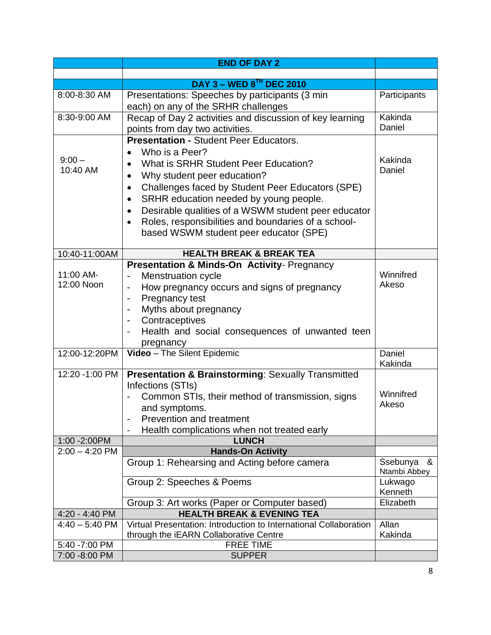|                                    | <b>END OF DAY 2</b>                                                                                                                                                                                                                                                                                                                                                                                                                                       |                                                               |
|------------------------------------|-----------------------------------------------------------------------------------------------------------------------------------------------------------------------------------------------------------------------------------------------------------------------------------------------------------------------------------------------------------------------------------------------------------------------------------------------------------|---------------------------------------------------------------|
|                                    |                                                                                                                                                                                                                                                                                                                                                                                                                                                           |                                                               |
|                                    | <b>DAY 3 - WED 8TH DEC 2010</b>                                                                                                                                                                                                                                                                                                                                                                                                                           |                                                               |
| 8:00-8:30 AM                       | Presentations: Speeches by participants (3 min)<br>each) on any of the SRHR challenges                                                                                                                                                                                                                                                                                                                                                                    | Participants                                                  |
| 8:30-9:00 AM                       | Recap of Day 2 activities and discussion of key learning                                                                                                                                                                                                                                                                                                                                                                                                  | Kakinda<br>Daniel                                             |
| $9:00 -$<br>10:40 AM               | points from day two activities.<br><b>Presentation - Student Peer Educators.</b><br>Who is a Peer?<br>What is SRHR Student Peer Education?<br>Why student peer education?<br>Challenges faced by Student Peer Educators (SPE)<br>SRHR education needed by young people.<br>$\bullet$<br>Desirable qualities of a WSWM student peer educator<br>Roles, responsibilities and boundaries of a school-<br>$\bullet$<br>based WSWM student peer educator (SPE) | Kakinda<br>Daniel                                             |
| 10:40-11:00AM                      | <b>HEALTH BREAK &amp; BREAK TEA</b>                                                                                                                                                                                                                                                                                                                                                                                                                       |                                                               |
| 11:00 AM-<br>12:00 Noon            | Presentation & Minds-On Activity- Pregnancy<br><b>Menstruation cycle</b><br>How pregnancy occurs and signs of pregnancy<br>Pregnancy test<br>Myths about pregnancy<br>Contraceptives<br>Health and social consequences of unwanted teen                                                                                                                                                                                                                   | Winnifred<br>Akeso                                            |
| 12:00-12:20PM                      | pregnancy<br>Video - The Silent Epidemic                                                                                                                                                                                                                                                                                                                                                                                                                  | Daniel<br>Kakinda                                             |
| 12:20 -1:00 PM                     | <b>Presentation &amp; Brainstorming: Sexually Transmitted</b><br>Infections (STIs)<br>Common STIs, their method of transmission, signs<br>and symptoms.<br><b>Prevention and treatment</b><br>Health complications when not treated early                                                                                                                                                                                                                 | Winnifred<br>Akeso                                            |
| 1:00 - 2:00 PM                     | <b>LUNCH</b>                                                                                                                                                                                                                                                                                                                                                                                                                                              |                                                               |
| $2:00 - 4:20$ PM                   | <b>Hands-On Activity</b><br>Group 1: Rehearsing and Acting before camera<br>Group 2: Speeches & Poems                                                                                                                                                                                                                                                                                                                                                     | Ssebunya &<br>Ntambi Abbey<br>Lukwago<br>Kenneth<br>Elizabeth |
|                                    | Group 3: Art works (Paper or Computer based)<br><b>HEALTH BREAK &amp; EVENING TEA</b>                                                                                                                                                                                                                                                                                                                                                                     |                                                               |
| 4:20 - 4:40 PM<br>$4:40 - 5:40$ PM | Virtual Presentation: Introduction to International Collaboration<br>through the iEARN Collaborative Centre                                                                                                                                                                                                                                                                                                                                               | Allan<br>Kakinda                                              |
| 5:40 -7:00 PM                      | <b>FREE TIME</b>                                                                                                                                                                                                                                                                                                                                                                                                                                          |                                                               |
| 7:00 -8:00 PM                      | <b>SUPPER</b>                                                                                                                                                                                                                                                                                                                                                                                                                                             |                                                               |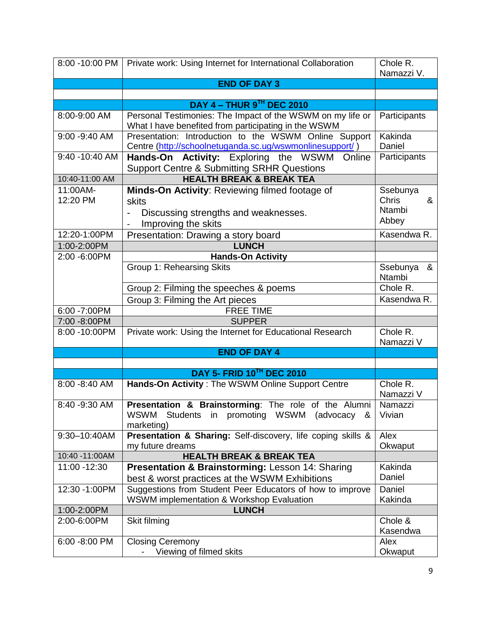|                      | 8:00 -10:00 PM   Private work: Using Internet for International Collaboration                                      | Chole R.                      |
|----------------------|--------------------------------------------------------------------------------------------------------------------|-------------------------------|
|                      |                                                                                                                    | Namazzi V.                    |
|                      | <b>END OF DAY 3</b>                                                                                                |                               |
|                      |                                                                                                                    |                               |
|                      | DAY 4 - THUR 9TH DEC 2010                                                                                          |                               |
| 8:00-9:00 AM         | Personal Testimonies: The Impact of the WSWM on my life or<br>What I have benefited from participating in the WSWM | Participants                  |
| 9:00 - 9:40 AM       | Presentation: Introduction to the WSWM Online Support                                                              | Kakinda                       |
|                      | Centre (http://schoolnetuganda.sc.ug/wswmonlinesupport/)                                                           | Daniel                        |
| $9:40 - 10:40$ AM    | Online<br>Hands-On Activity: Exploring the WSWM                                                                    | Participants                  |
|                      | <b>Support Centre &amp; Submitting SRHR Questions</b>                                                              |                               |
| 10:40-11:00 AM       | <b>HEALTH BREAK &amp; BREAK TEA</b>                                                                                |                               |
| 11:00AM-<br>12:20 PM | Minds-On Activity: Reviewing filmed footage of                                                                     | Ssebunya<br><b>Chris</b><br>& |
|                      | skits                                                                                                              | <b>Ntambi</b>                 |
|                      | Discussing strengths and weaknesses.<br>Improving the skits                                                        | Abbey                         |
| 12:20-1:00PM         | Presentation: Drawing a story board                                                                                | Kasendwa R.                   |
| 1:00-2:00PM          | <b>LUNCH</b>                                                                                                       |                               |
| 2:00 -6:00PM         | <b>Hands-On Activity</b>                                                                                           |                               |
|                      | <b>Group 1: Rehearsing Skits</b>                                                                                   | Ssebunya &                    |
|                      |                                                                                                                    | <b>Ntambi</b>                 |
|                      | Group 2: Filming the speeches & poems                                                                              | Chole R.                      |
|                      | Group 3: Filming the Art pieces                                                                                    | Kasendwa R.                   |
| 6:00 -7:00PM         | <b>FREE TIME</b>                                                                                                   |                               |
| 7:00 -8:00PM         | <b>SUPPER</b>                                                                                                      |                               |
| 8:00 -10:00PM        | Private work: Using the Internet for Educational Research                                                          | Chole R.<br>Namazzi V         |
|                      | <b>END OF DAY 4</b>                                                                                                |                               |
|                      |                                                                                                                    |                               |
|                      | DAY 5- FRID 10TH DEC 2010                                                                                          |                               |
| 8:00 - 8:40 AM       | Hands-On Activity: The WSWM Online Support Centre                                                                  | Chole R.<br>Namazzi V         |
| 8:40 - 9:30 AM       | Presentation & Brainstorming: The role of the Alumni                                                               | Namazzi                       |
|                      | WSWM Students in promoting WSWM (advocacy &                                                                        | Vivian                        |
|                      | marketing)                                                                                                         |                               |
| 9:30-10:40AM         | Presentation & Sharing: Self-discovery, life coping skills &<br>my future dreams                                   | Alex                          |
| 10:40 -11:00AM       | <b>HEALTH BREAK &amp; BREAK TEA</b>                                                                                | Okwaput                       |
| 11:00 -12:30         | <b>Presentation &amp; Brainstorming: Lesson 14: Sharing</b>                                                        | Kakinda                       |
|                      | best & worst practices at the WSWM Exhibitions                                                                     | Daniel                        |
| 12:30 - 1:00 PM      | Suggestions from Student Peer Educators of how to improve                                                          | Daniel                        |
|                      | WSWM implementation & Workshop Evaluation                                                                          | Kakinda                       |
| 1:00-2:00PM          | <b>LUNCH</b>                                                                                                       |                               |
| 2:00-6:00PM          | Skit filming                                                                                                       | Chole &                       |
|                      |                                                                                                                    | Kasendwa                      |
| 6:00 -8:00 PM        | <b>Closing Ceremony</b>                                                                                            | Alex                          |
|                      | Viewing of filmed skits                                                                                            | Okwaput                       |